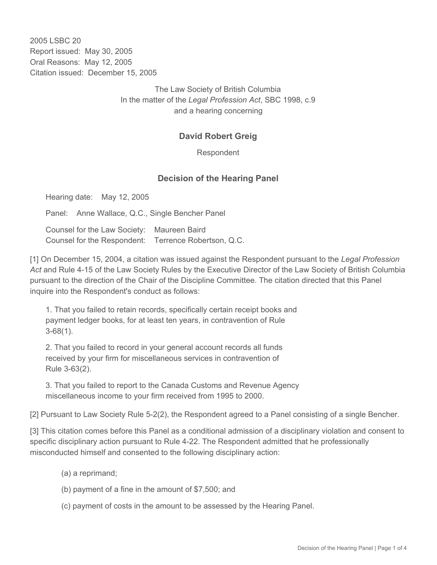2005 LSBC 20 Report issued: May 30, 2005 Oral Reasons: May 12, 2005 Citation issued: December 15, 2005

> The Law Society of British Columbia In the matter of the *Legal Profession Act*, SBC 1998, c.9 and a hearing concerning

## **David Robert Greig**

Respondent

## **Decision of the Hearing Panel**

Hearing date: May 12, 2005

Panel: Anne Wallace, Q.C., Single Bencher Panel

Counsel for the Law Society: Maureen Baird Counsel for the Respondent: Terrence Robertson, Q.C.

[1] On December 15, 2004, a citation was issued against the Respondent pursuant to the *Legal Profession Act* and Rule 4-15 of the Law Society Rules by the Executive Director of the Law Society of British Columbia pursuant to the direction of the Chair of the Discipline Committee. The citation directed that this Panel inquire into the Respondent's conduct as follows:

1. That you failed to retain records, specifically certain receipt books and payment ledger books, for at least ten years, in contravention of Rule 3-68(1).

2. That you failed to record in your general account records all funds received by your firm for miscellaneous services in contravention of Rule 3-63(2).

3. That you failed to report to the Canada Customs and Revenue Agency miscellaneous income to your firm received from 1995 to 2000.

[2] Pursuant to Law Society Rule 5-2(2), the Respondent agreed to a Panel consisting of a single Bencher.

[3] This citation comes before this Panel as a conditional admission of a disciplinary violation and consent to specific disciplinary action pursuant to Rule 4-22. The Respondent admitted that he professionally misconducted himself and consented to the following disciplinary action:

- (a) a reprimand;
- (b) payment of a fine in the amount of \$7,500; and
- (c) payment of costs in the amount to be assessed by the Hearing Panel.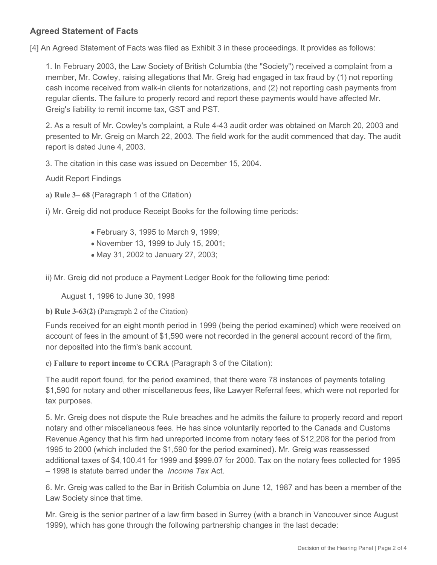## **Agreed Statement of Facts**

[4] An Agreed Statement of Facts was filed as Exhibit 3 in these proceedings. It provides as follows:

1. In February 2003, the Law Society of British Columbia (the "Society") received a complaint from a member, Mr. Cowley, raising allegations that Mr. Greig had engaged in tax fraud by (1) not reporting cash income received from walk-in clients for notarizations, and (2) not reporting cash payments from regular clients. The failure to properly record and report these payments would have affected Mr. Greig's liability to remit income tax, GST and PST.

2. As a result of Mr. Cowley's complaint, a Rule 4-43 audit order was obtained on March 20, 2003 and presented to Mr. Greig on March 22, 2003. The field work for the audit commenced that day. The audit report is dated June 4, 2003.

3. The citation in this case was issued on December 15, 2004.

Audit Report Findings

**a) Rule 3– 68** (Paragraph 1 of the Citation)

i) Mr. Greig did not produce Receipt Books for the following time periods:

- February 3, 1995 to March 9, 1999;
- November 13, 1999 to July 15, 2001;
- May 31, 2002 to January 27, 2003;

ii) Mr. Greig did not produce a Payment Ledger Book for the following time period:

August 1, 1996 to June 30, 1998

**b) Rule 3-63(2)** (Paragraph 2 of the Citation)

Funds received for an eight month period in 1999 (being the period examined) which were received on account of fees in the amount of \$1,590 were not recorded in the general account record of the firm, nor deposited into the firm's bank account.

**c) Failure to report income to CCRA** (Paragraph 3 of the Citation):

The audit report found, for the period examined, that there were 78 instances of payments totaling \$1,590 for notary and other miscellaneous fees, like Lawyer Referral fees, which were not reported for tax purposes.

5. Mr. Greig does not dispute the Rule breaches and he admits the failure to properly record and report notary and other miscellaneous fees. He has since voluntarily reported to the Canada and Customs Revenue Agency that his firm had unreported income from notary fees of \$12,208 for the period from 1995 to 2000 (which included the \$1,590 for the period examined). Mr. Greig was reassessed additional taxes of \$4,100.41 for 1999 and \$999.07 for 2000. Tax on the notary fees collected for 1995 – 1998 is statute barred under the *Income Tax* Act.

6. Mr. Greig was called to the Bar in British Columbia on June 12, 1987 and has been a member of the Law Society since that time.

Mr. Greig is the senior partner of a law firm based in Surrey (with a branch in Vancouver since August 1999), which has gone through the following partnership changes in the last decade: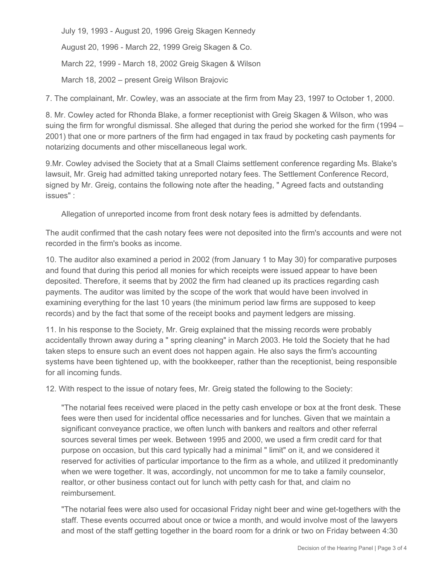July 19, 1993 - August 20, 1996 Greig Skagen Kennedy

August 20, 1996 - March 22, 1999 Greig Skagen & Co.

March 22, 1999 - March 18, 2002 Greig Skagen & Wilson

March 18, 2002 – present Greig Wilson Brajovic

7. The complainant, Mr. Cowley, was an associate at the firm from May 23, 1997 to October 1, 2000.

8. Mr. Cowley acted for Rhonda Blake, a former receptionist with Greig Skagen & Wilson, who was suing the firm for wrongful dismissal. She alleged that during the period she worked for the firm (1994 – 2001) that one or more partners of the firm had engaged in tax fraud by pocketing cash payments for notarizing documents and other miscellaneous legal work.

9.Mr. Cowley advised the Society that at a Small Claims settlement conference regarding Ms. Blake's lawsuit, Mr. Greig had admitted taking unreported notary fees. The Settlement Conference Record, signed by Mr. Greig, contains the following note after the heading, " Agreed facts and outstanding issues" :

Allegation of unreported income from front desk notary fees is admitted by defendants.

The audit confirmed that the cash notary fees were not deposited into the firm's accounts and were not recorded in the firm's books as income.

10. The auditor also examined a period in 2002 (from January 1 to May 30) for comparative purposes and found that during this period all monies for which receipts were issued appear to have been deposited. Therefore, it seems that by 2002 the firm had cleaned up its practices regarding cash payments. The auditor was limited by the scope of the work that would have been involved in examining everything for the last 10 years (the minimum period law firms are supposed to keep records) and by the fact that some of the receipt books and payment ledgers are missing.

11. In his response to the Society, Mr. Greig explained that the missing records were probably accidentally thrown away during a " spring cleaning" in March 2003. He told the Society that he had taken steps to ensure such an event does not happen again. He also says the firm's accounting systems have been tightened up, with the bookkeeper, rather than the receptionist, being responsible for all incoming funds.

12. With respect to the issue of notary fees, Mr. Greig stated the following to the Society:

"The notarial fees received were placed in the petty cash envelope or box at the front desk. These fees were then used for incidental office necessaries and for lunches. Given that we maintain a significant conveyance practice, we often lunch with bankers and realtors and other referral sources several times per week. Between 1995 and 2000, we used a firm credit card for that purpose on occasion, but this card typically had a minimal " limit" on it, and we considered it reserved for activities of particular importance to the firm as a whole, and utilized it predominantly when we were together. It was, accordingly, not uncommon for me to take a family counselor, realtor, or other business contact out for lunch with petty cash for that, and claim no reimbursement.

"The notarial fees were also used for occasional Friday night beer and wine get-togethers with the staff. These events occurred about once or twice a month, and would involve most of the lawyers and most of the staff getting together in the board room for a drink or two on Friday between 4:30